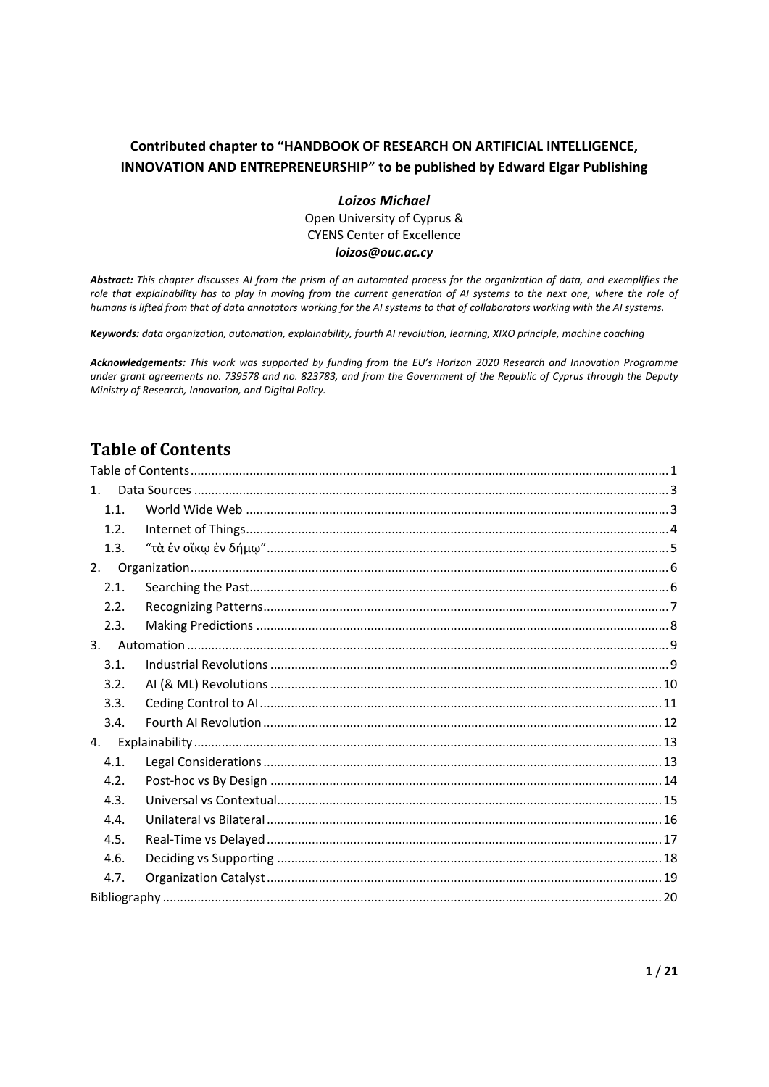#### **Contributed chapter to "HANDBOOK OF RESEARCH ON ARTIFICIAL INTELLIGENCE, INNOVATION AND ENTREPRENEURSHIP" to be published by Edward Elgar Publishing**

*Loizos Michael*  Open University of Cyprus & CYENS Center of Excellence *loizos@ouc.ac.cy* 

*Abstract: This chapter discusses AI from the prism of an automated process for the organization of data, and exemplifies the role that explainability has to play in moving from the current generation of AI systems to the next one, where the role of humans is lifted from that of data annotators working for the AI systems to that of collaborators working with the AI systems.*

*Keywords: data organization, automation, explainability, fourth AI revolution, learning, XIXO principle, machine coaching* 

*Acknowledgements: This work was supported by funding from the EU's Horizon 2020 Research and Innovation Programme under grant agreements no. 739578 and no. 823783, and from the Government of the Republic of Cyprus through the Deputy Ministry of Research, Innovation, and Digital Policy.* 

# **Table of Contents**

| $1_{\ldots}$ |  |  |
|--------------|--|--|
| 1.1          |  |  |
| 1.2.         |  |  |
| 1.3.         |  |  |
| 2.           |  |  |
| 2.1.         |  |  |
| 2.2.         |  |  |
| 2.3.         |  |  |
| 3.           |  |  |
| 3.1.         |  |  |
| 3.2.         |  |  |
| 3.3.         |  |  |
| 3.4.         |  |  |
| 4.           |  |  |
| 4.1.         |  |  |
| 4.2.         |  |  |
| 4.3.         |  |  |
| 4.4.         |  |  |
| 4.5.         |  |  |
| 4.6.         |  |  |
| 4.7.         |  |  |
|              |  |  |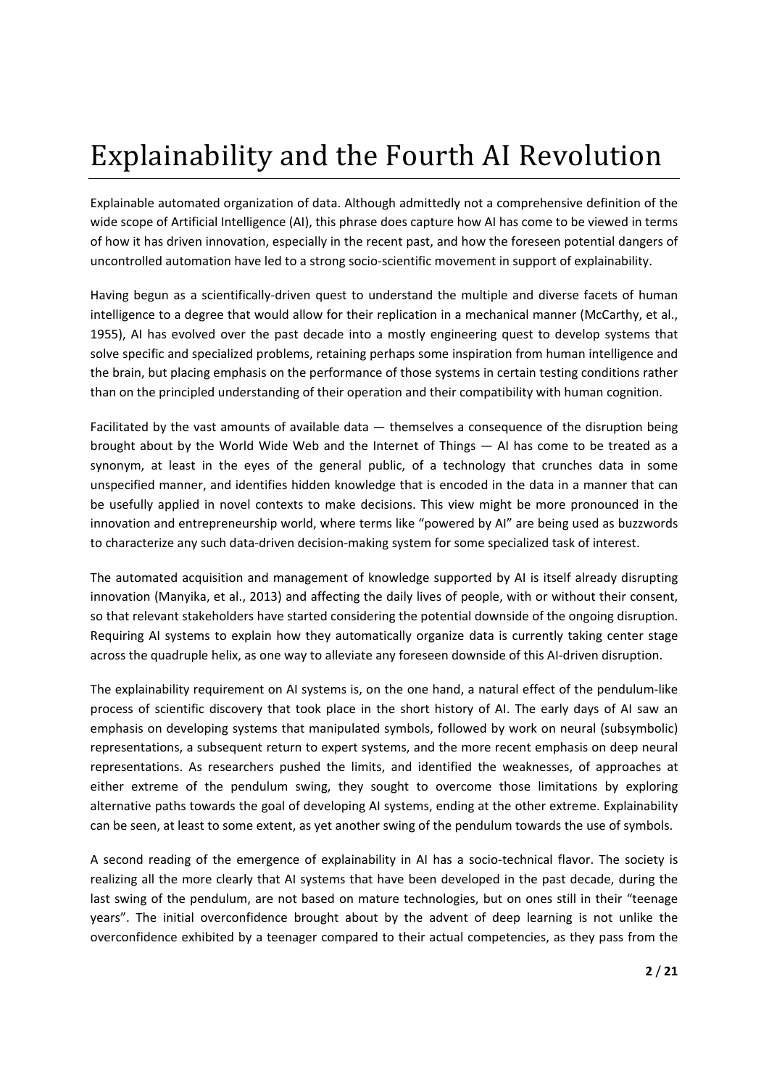# Explainability and the Fourth AI Revolution

Explainable automated organization of data. Although admittedly not a comprehensive definition of the wide scope of Artificial Intelligence (AI), this phrase does capture how AI has come to be viewed in terms of how it has driven innovation, especially in the recent past, and how the foreseen potential dangers of uncontrolled automation have led to a strong socio‐scientific movement in support of explainability.

Having begun as a scientifically-driven quest to understand the multiple and diverse facets of human intelligence to a degree that would allow for their replication in a mechanical manner (McCarthy, et al., 1955), AI has evolved over the past decade into a mostly engineering quest to develop systems that solve specific and specialized problems, retaining perhaps some inspiration from human intelligence and the brain, but placing emphasis on the performance of those systems in certain testing conditions rather than on the principled understanding of their operation and their compatibility with human cognition.

Facilitated by the vast amounts of available data — themselves a consequence of the disruption being brought about by the World Wide Web and the Internet of Things — AI has come to be treated as a synonym, at least in the eyes of the general public, of a technology that crunches data in some unspecified manner, and identifies hidden knowledge that is encoded in the data in a manner that can be usefully applied in novel contexts to make decisions. This view might be more pronounced in the innovation and entrepreneurship world, where terms like "powered by AI" are being used as buzzwords to characterize any such data‐driven decision‐making system for some specialized task of interest.

The automated acquisition and management of knowledge supported by AI is itself already disrupting innovation (Manyika, et al., 2013) and affecting the daily lives of people, with or without their consent, so that relevant stakeholders have started considering the potential downside of the ongoing disruption. Requiring AI systems to explain how they automatically organize data is currently taking center stage across the quadruple helix, as one way to alleviate any foreseen downside of this AI‐driven disruption.

The explainability requirement on AI systems is, on the one hand, a natural effect of the pendulum‐like process of scientific discovery that took place in the short history of AI. The early days of AI saw an emphasis on developing systems that manipulated symbols, followed by work on neural (subsymbolic) representations, a subsequent return to expert systems, and the more recent emphasis on deep neural representations. As researchers pushed the limits, and identified the weaknesses, of approaches at either extreme of the pendulum swing, they sought to overcome those limitations by exploring alternative paths towards the goal of developing AI systems, ending at the other extreme. Explainability can be seen, at least to some extent, as yet another swing of the pendulum towards the use of symbols.

A second reading of the emergence of explainability in AI has a socio-technical flavor. The society is realizing all the more clearly that AI systems that have been developed in the past decade, during the last swing of the pendulum, are not based on mature technologies, but on ones still in their "teenage years". The initial overconfidence brought about by the advent of deep learning is not unlike the overconfidence exhibited by a teenager compared to their actual competencies, as they pass from the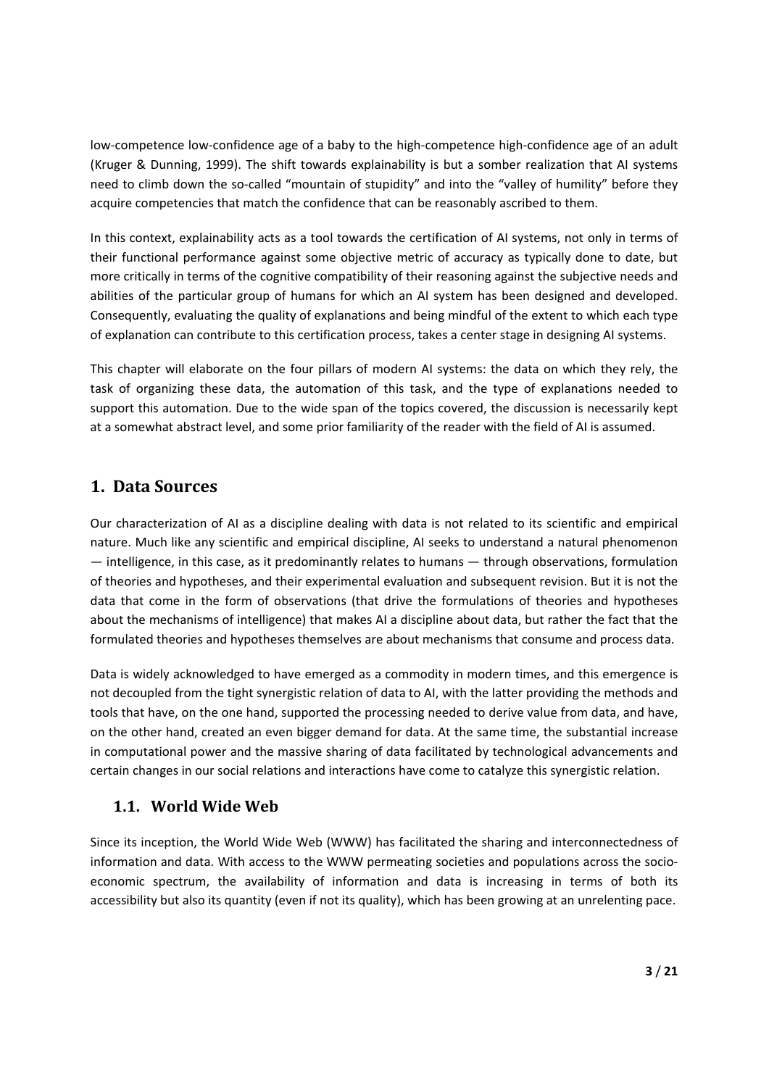low‐competence low‐confidence age of a baby to the high‐competence high‐confidence age of an adult (Kruger & Dunning, 1999). The shift towards explainability is but a somber realization that AI systems need to climb down the so-called "mountain of stupidity" and into the "valley of humility" before they acquire competencies that match the confidence that can be reasonably ascribed to them.

In this context, explainability acts as a tool towards the certification of AI systems, not only in terms of their functional performance against some objective metric of accuracy as typically done to date, but more critically in terms of the cognitive compatibility of their reasoning against the subjective needs and abilities of the particular group of humans for which an AI system has been designed and developed. Consequently, evaluating the quality of explanations and being mindful of the extent to which each type of explanation can contribute to this certification process, takes a center stage in designing AI systems.

This chapter will elaborate on the four pillars of modern AI systems: the data on which they rely, the task of organizing these data, the automation of this task, and the type of explanations needed to support this automation. Due to the wide span of the topics covered, the discussion is necessarily kept at a somewhat abstract level, and some prior familiarity of the reader with the field of AI is assumed.

## **1. Data Sources**

Our characterization of AI as a discipline dealing with data is not related to its scientific and empirical nature. Much like any scientific and empirical discipline, AI seeks to understand a natural phenomenon — intelligence, in this case, as it predominantly relates to humans — through observations, formulation of theories and hypotheses, and their experimental evaluation and subsequent revision. But it is not the data that come in the form of observations (that drive the formulations of theories and hypotheses about the mechanisms of intelligence) that makes AI a discipline about data, but rather the fact that the formulated theories and hypotheses themselves are about mechanisms that consume and process data.

Data is widely acknowledged to have emerged as a commodity in modern times, and this emergence is not decoupled from the tight synergistic relation of data to AI, with the latter providing the methods and tools that have, on the one hand, supported the processing needed to derive value from data, and have, on the other hand, created an even bigger demand for data. At the same time, the substantial increase in computational power and the massive sharing of data facilitated by technological advancements and certain changes in our social relations and interactions have come to catalyze this synergistic relation.

#### **1.1. World Wide Web**

Since its inception, the World Wide Web (WWW) has facilitated the sharing and interconnectedness of information and data. With access to the WWW permeating societies and populations across the socio‐ economic spectrum, the availability of information and data is increasing in terms of both its accessibility but also its quantity (even if not its quality), which has been growing at an unrelenting pace.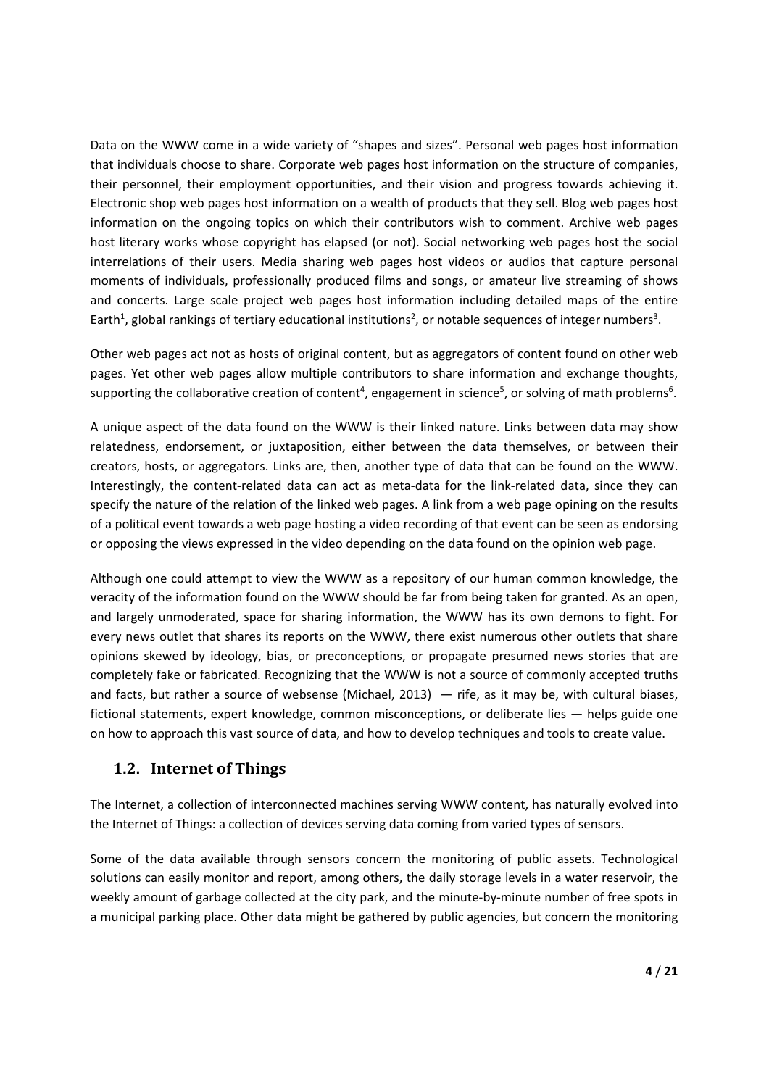Data on the WWW come in a wide variety of "shapes and sizes". Personal web pages host information that individuals choose to share. Corporate web pages host information on the structure of companies, their personnel, their employment opportunities, and their vision and progress towards achieving it. Electronic shop web pages host information on a wealth of products that they sell. Blog web pages host information on the ongoing topics on which their contributors wish to comment. Archive web pages host literary works whose copyright has elapsed (or not). Social networking web pages host the social interrelations of their users. Media sharing web pages host videos or audios that capture personal moments of individuals, professionally produced films and songs, or amateur live streaming of shows and concerts. Large scale project web pages host information including detailed maps of the entire Earth<sup>1</sup>, global rankings of tertiary educational institutions<sup>2</sup>, or notable sequences of integer numbers<sup>3</sup>.

Other web pages act not as hosts of original content, but as aggregators of content found on other web pages. Yet other web pages allow multiple contributors to share information and exchange thoughts, supporting the collaborative creation of content<sup>4</sup>, engagement in science<sup>5</sup>, or solving of math problems<sup>6</sup>.

A unique aspect of the data found on the WWW is their linked nature. Links between data may show relatedness, endorsement, or juxtaposition, either between the data themselves, or between their creators, hosts, or aggregators. Links are, then, another type of data that can be found on the WWW. Interestingly, the content-related data can act as meta-data for the link-related data, since they can specify the nature of the relation of the linked web pages. A link from a web page opining on the results of a political event towards a web page hosting a video recording of that event can be seen as endorsing or opposing the views expressed in the video depending on the data found on the opinion web page.

Although one could attempt to view the WWW as a repository of our human common knowledge, the veracity of the information found on the WWW should be far from being taken for granted. As an open, and largely unmoderated, space for sharing information, the WWW has its own demons to fight. For every news outlet that shares its reports on the WWW, there exist numerous other outlets that share opinions skewed by ideology, bias, or preconceptions, or propagate presumed news stories that are completely fake or fabricated. Recognizing that the WWW is not a source of commonly accepted truths and facts, but rather a source of websense (Michael, 2013)  $-$  rife, as it may be, with cultural biases, fictional statements, expert knowledge, common misconceptions, or deliberate lies — helps guide one on how to approach this vast source of data, and how to develop techniques and tools to create value.

#### **1.2. Internet of Things**

The Internet, a collection of interconnected machines serving WWW content, has naturally evolved into the Internet of Things: a collection of devices serving data coming from varied types of sensors.

Some of the data available through sensors concern the monitoring of public assets. Technological solutions can easily monitor and report, among others, the daily storage levels in a water reservoir, the weekly amount of garbage collected at the city park, and the minute-by-minute number of free spots in a municipal parking place. Other data might be gathered by public agencies, but concern the monitoring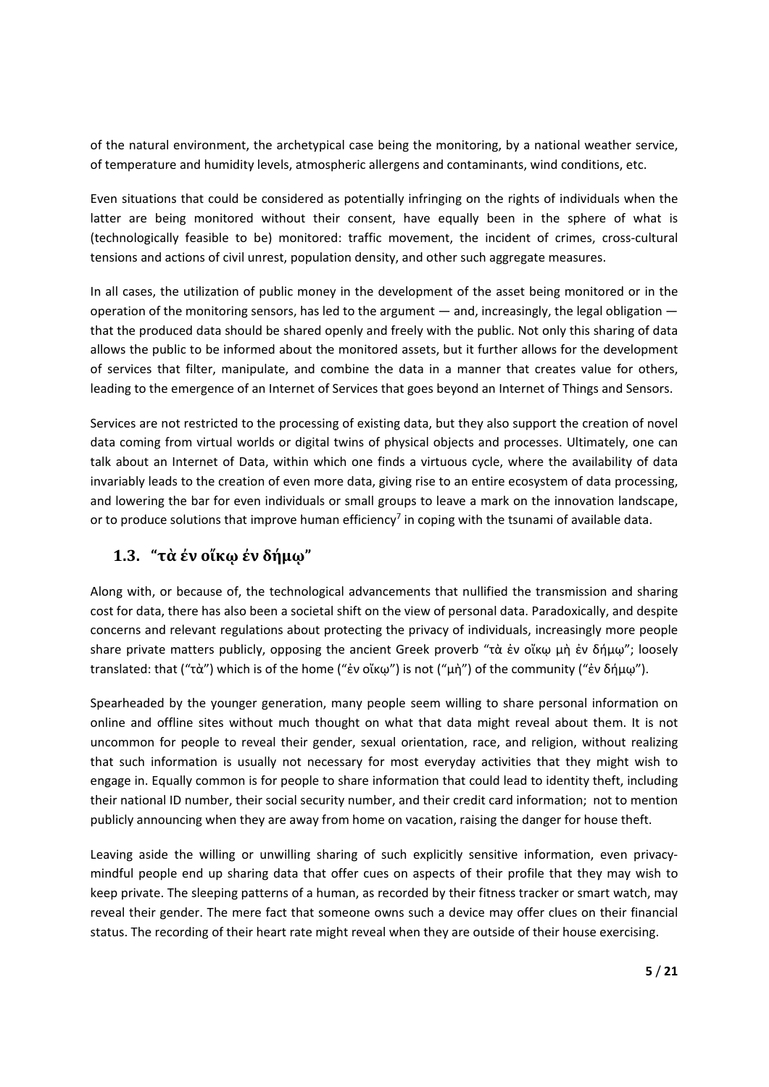of the natural environment, the archetypical case being the monitoring, by a national weather service, of temperature and humidity levels, atmospheric allergens and contaminants, wind conditions, etc.

Even situations that could be considered as potentially infringing on the rights of individuals when the latter are being monitored without their consent, have equally been in the sphere of what is (technologically feasible to be) monitored: traffic movement, the incident of crimes, cross‐cultural tensions and actions of civil unrest, population density, and other such aggregate measures.

In all cases, the utilization of public money in the development of the asset being monitored or in the operation of the monitoring sensors, has led to the argument — and, increasingly, the legal obligation that the produced data should be shared openly and freely with the public. Not only this sharing of data allows the public to be informed about the monitored assets, but it further allows for the development of services that filter, manipulate, and combine the data in a manner that creates value for others, leading to the emergence of an Internet of Services that goes beyond an Internet of Things and Sensors.

Services are not restricted to the processing of existing data, but they also support the creation of novel data coming from virtual worlds or digital twins of physical objects and processes. Ultimately, one can talk about an Internet of Data, within which one finds a virtuous cycle, where the availability of data invariably leads to the creation of even more data, giving rise to an entire ecosystem of data processing, and lowering the bar for even individuals or small groups to leave a mark on the innovation landscape, or to produce solutions that improve human efficiency<sup>7</sup> in coping with the tsunami of available data.

# **1.3. "τὰ ἐν οἴκῳ ἐν δήμῳ"**

Along with, or because of, the technological advancements that nullified the transmission and sharing cost for data, there has also been a societal shift on the view of personal data. Paradoxically, and despite concerns and relevant regulations about protecting the privacy of individuals, increasingly more people share private matters publicly, opposing the ancient Greek proverb "τὰ ἐν οἴκῳ μὴ ἐν δήμῳ"; loosely translated: that ("τὰ") which is of the home ("ἐν οἴκῳ") is not ("μὴ") of the community ("ἐν δήμῳ").

Spearheaded by the younger generation, many people seem willing to share personal information on online and offline sites without much thought on what that data might reveal about them. It is not uncommon for people to reveal their gender, sexual orientation, race, and religion, without realizing that such information is usually not necessary for most everyday activities that they might wish to engage in. Equally common is for people to share information that could lead to identity theft, including their national ID number, their social security number, and their credit card information; not to mention publicly announcing when they are away from home on vacation, raising the danger for house theft.

Leaving aside the willing or unwilling sharing of such explicitly sensitive information, even privacymindful people end up sharing data that offer cues on aspects of their profile that they may wish to keep private. The sleeping patterns of a human, as recorded by their fitness tracker or smart watch, may reveal their gender. The mere fact that someone owns such a device may offer clues on their financial status. The recording of their heart rate might reveal when they are outside of their house exercising.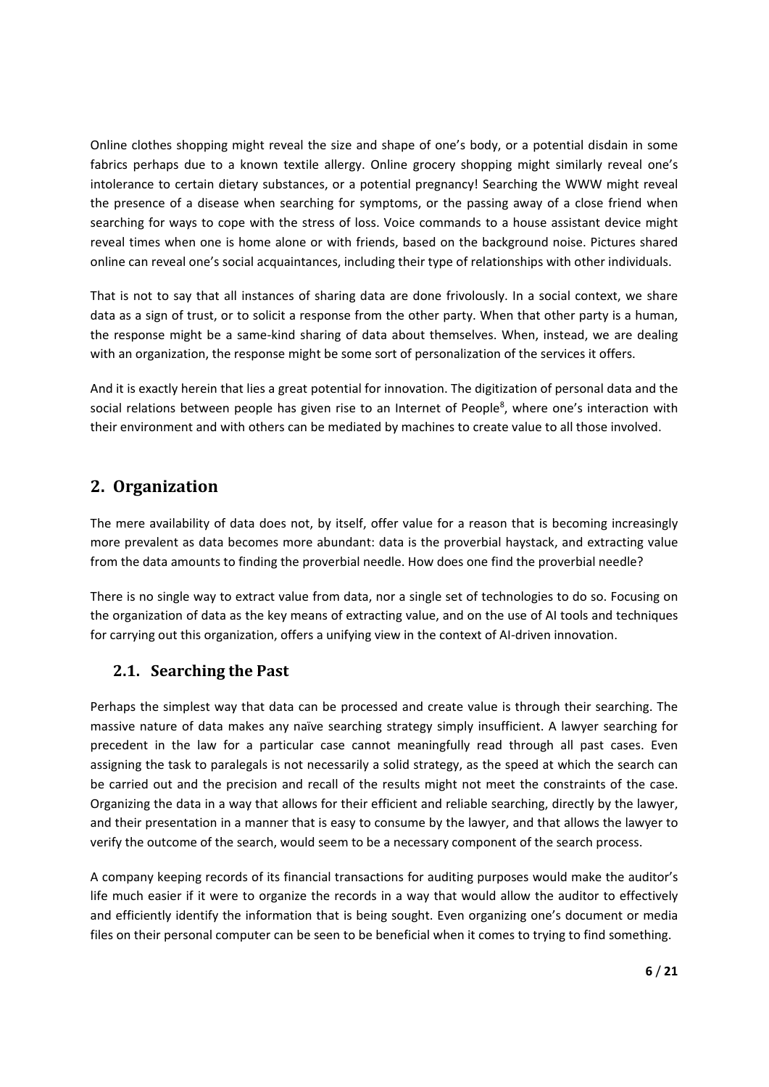Online clothes shopping might reveal the size and shape of one's body, or a potential disdain in some fabrics perhaps due to a known textile allergy. Online grocery shopping might similarly reveal one's intolerance to certain dietary substances, or a potential pregnancy! Searching the WWW might reveal the presence of a disease when searching for symptoms, or the passing away of a close friend when searching for ways to cope with the stress of loss. Voice commands to a house assistant device might reveal times when one is home alone or with friends, based on the background noise. Pictures shared online can reveal one's social acquaintances, including their type of relationships with other individuals.

That is not to say that all instances of sharing data are done frivolously. In a social context, we share data as a sign of trust, or to solicit a response from the other party. When that other party is a human, the response might be a same-kind sharing of data about themselves. When, instead, we are dealing with an organization, the response might be some sort of personalization of the services it offers.

And it is exactly herein that lies a great potential for innovation. The digitization of personal data and the social relations between people has given rise to an Internet of People<sup>8</sup>, where one's interaction with their environment and with others can be mediated by machines to create value to all those involved.

# **2. Organization**

The mere availability of data does not, by itself, offer value for a reason that is becoming increasingly more prevalent as data becomes more abundant: data is the proverbial haystack, and extracting value from the data amounts to finding the proverbial needle. How does one find the proverbial needle?

There is no single way to extract value from data, nor a single set of technologies to do so. Focusing on the organization of data as the key means of extracting value, and on the use of AI tools and techniques for carrying out this organization, offers a unifying view in the context of AI-driven innovation.

## **2.1. Searching the Past**

Perhaps the simplest way that data can be processed and create value is through their searching. The massive nature of data makes any naïve searching strategy simply insufficient. A lawyer searching for precedent in the law for a particular case cannot meaningfully read through all past cases. Even assigning the task to paralegals is not necessarily a solid strategy, as the speed at which the search can be carried out and the precision and recall of the results might not meet the constraints of the case. Organizing the data in a way that allows for their efficient and reliable searching, directly by the lawyer, and their presentation in a manner that is easy to consume by the lawyer, and that allows the lawyer to verify the outcome of the search, would seem to be a necessary component of the search process.

A company keeping records of its financial transactions for auditing purposes would make the auditor's life much easier if it were to organize the records in a way that would allow the auditor to effectively and efficiently identify the information that is being sought. Even organizing one's document or media files on their personal computer can be seen to be beneficial when it comes to trying to find something.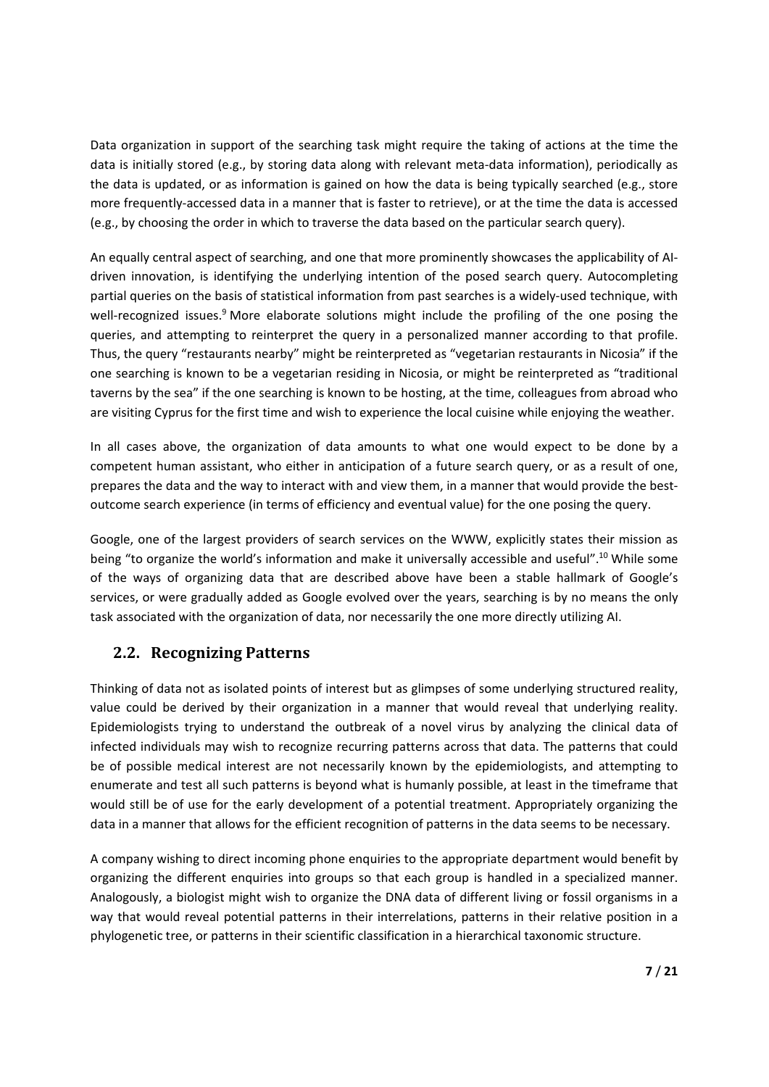Data organization in support of the searching task might require the taking of actions at the time the data is initially stored (e.g., by storing data along with relevant meta-data information), periodically as the data is updated, or as information is gained on how the data is being typically searched (e.g., store more frequently-accessed data in a manner that is faster to retrieve), or at the time the data is accessed (e.g., by choosing the order in which to traverse the data based on the particular search query).

An equally central aspect of searching, and one that more prominently showcases the applicability of AI‐ driven innovation, is identifying the underlying intention of the posed search query. Autocompleting partial queries on the basis of statistical information from past searches is a widely-used technique, with well-recognized issues.<sup>9</sup> More elaborate solutions might include the profiling of the one posing the queries, and attempting to reinterpret the query in a personalized manner according to that profile. Thus, the query "restaurants nearby" might be reinterpreted as "vegetarian restaurants in Nicosia" if the one searching is known to be a vegetarian residing in Nicosia, or might be reinterpreted as "traditional taverns by the sea" if the one searching is known to be hosting, at the time, colleagues from abroad who are visiting Cyprus for the first time and wish to experience the local cuisine while enjoying the weather.

In all cases above, the organization of data amounts to what one would expect to be done by a competent human assistant, who either in anticipation of a future search query, or as a result of one, prepares the data and the way to interact with and view them, in a manner that would provide the bestoutcome search experience (in terms of efficiency and eventual value) for the one posing the query.

Google, one of the largest providers of search services on the WWW, explicitly states their mission as being "to organize the world's information and make it universally accessible and useful".10 While some of the ways of organizing data that are described above have been a stable hallmark of Google's services, or were gradually added as Google evolved over the years, searching is by no means the only task associated with the organization of data, nor necessarily the one more directly utilizing AI.

## **2.2. Recognizing Patterns**

Thinking of data not as isolated points of interest but as glimpses of some underlying structured reality, value could be derived by their organization in a manner that would reveal that underlying reality. Epidemiologists trying to understand the outbreak of a novel virus by analyzing the clinical data of infected individuals may wish to recognize recurring patterns across that data. The patterns that could be of possible medical interest are not necessarily known by the epidemiologists, and attempting to enumerate and test all such patterns is beyond what is humanly possible, at least in the timeframe that would still be of use for the early development of a potential treatment. Appropriately organizing the data in a manner that allows for the efficient recognition of patterns in the data seems to be necessary.

A company wishing to direct incoming phone enquiries to the appropriate department would benefit by organizing the different enquiries into groups so that each group is handled in a specialized manner. Analogously, a biologist might wish to organize the DNA data of different living or fossil organisms in a way that would reveal potential patterns in their interrelations, patterns in their relative position in a phylogenetic tree, or patterns in their scientific classification in a hierarchical taxonomic structure.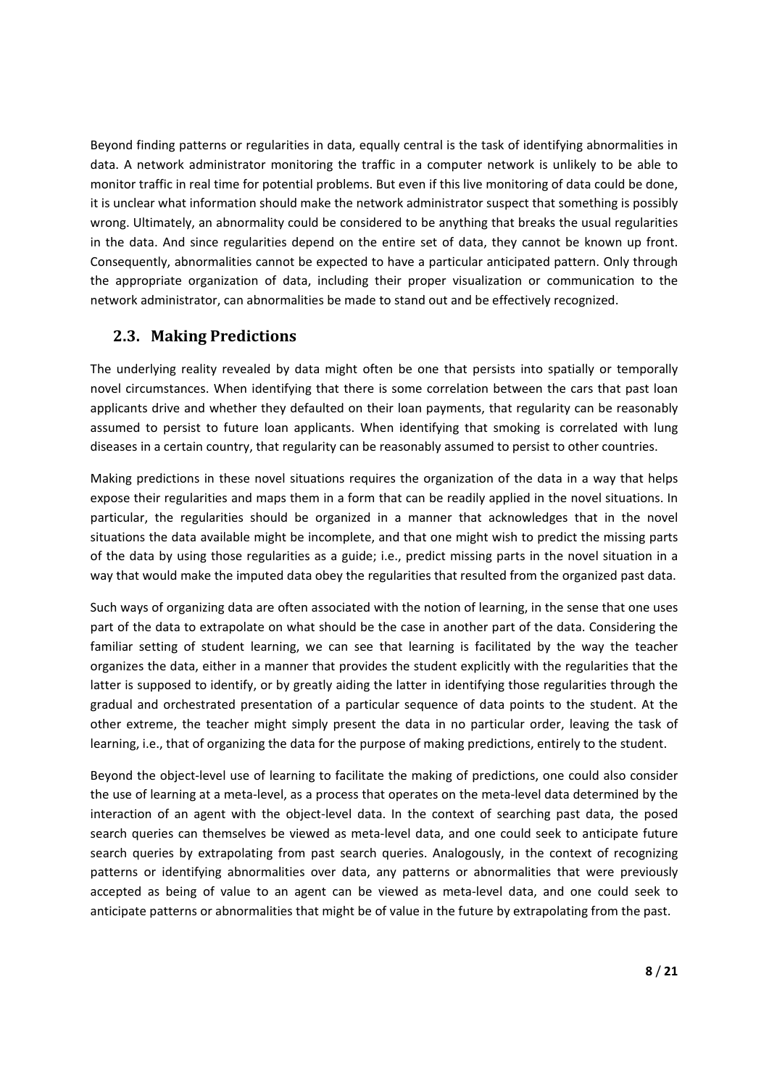Beyond finding patterns or regularities in data, equally central is the task of identifying abnormalities in data. A network administrator monitoring the traffic in a computer network is unlikely to be able to monitor traffic in real time for potential problems. But even if this live monitoring of data could be done, it is unclear what information should make the network administrator suspect that something is possibly wrong. Ultimately, an abnormality could be considered to be anything that breaks the usual regularities in the data. And since regularities depend on the entire set of data, they cannot be known up front. Consequently, abnormalities cannot be expected to have a particular anticipated pattern. Only through the appropriate organization of data, including their proper visualization or communication to the network administrator, can abnormalities be made to stand out and be effectively recognized.

#### **2.3. Making Predictions**

The underlying reality revealed by data might often be one that persists into spatially or temporally novel circumstances. When identifying that there is some correlation between the cars that past loan applicants drive and whether they defaulted on their loan payments, that regularity can be reasonably assumed to persist to future loan applicants. When identifying that smoking is correlated with lung diseases in a certain country, that regularity can be reasonably assumed to persist to other countries.

Making predictions in these novel situations requires the organization of the data in a way that helps expose their regularities and maps them in a form that can be readily applied in the novel situations. In particular, the regularities should be organized in a manner that acknowledges that in the novel situations the data available might be incomplete, and that one might wish to predict the missing parts of the data by using those regularities as a guide; i.e., predict missing parts in the novel situation in a way that would make the imputed data obey the regularities that resulted from the organized past data.

Such ways of organizing data are often associated with the notion of learning, in the sense that one uses part of the data to extrapolate on what should be the case in another part of the data. Considering the familiar setting of student learning, we can see that learning is facilitated by the way the teacher organizes the data, either in a manner that provides the student explicitly with the regularities that the latter is supposed to identify, or by greatly aiding the latter in identifying those regularities through the gradual and orchestrated presentation of a particular sequence of data points to the student. At the other extreme, the teacher might simply present the data in no particular order, leaving the task of learning, i.e., that of organizing the data for the purpose of making predictions, entirely to the student.

Beyond the object-level use of learning to facilitate the making of predictions, one could also consider the use of learning at a meta‐level, as a process that operates on the meta‐level data determined by the interaction of an agent with the object-level data. In the context of searching past data, the posed search queries can themselves be viewed as meta‐level data, and one could seek to anticipate future search queries by extrapolating from past search queries. Analogously, in the context of recognizing patterns or identifying abnormalities over data, any patterns or abnormalities that were previously accepted as being of value to an agent can be viewed as meta‐level data, and one could seek to anticipate patterns or abnormalities that might be of value in the future by extrapolating from the past.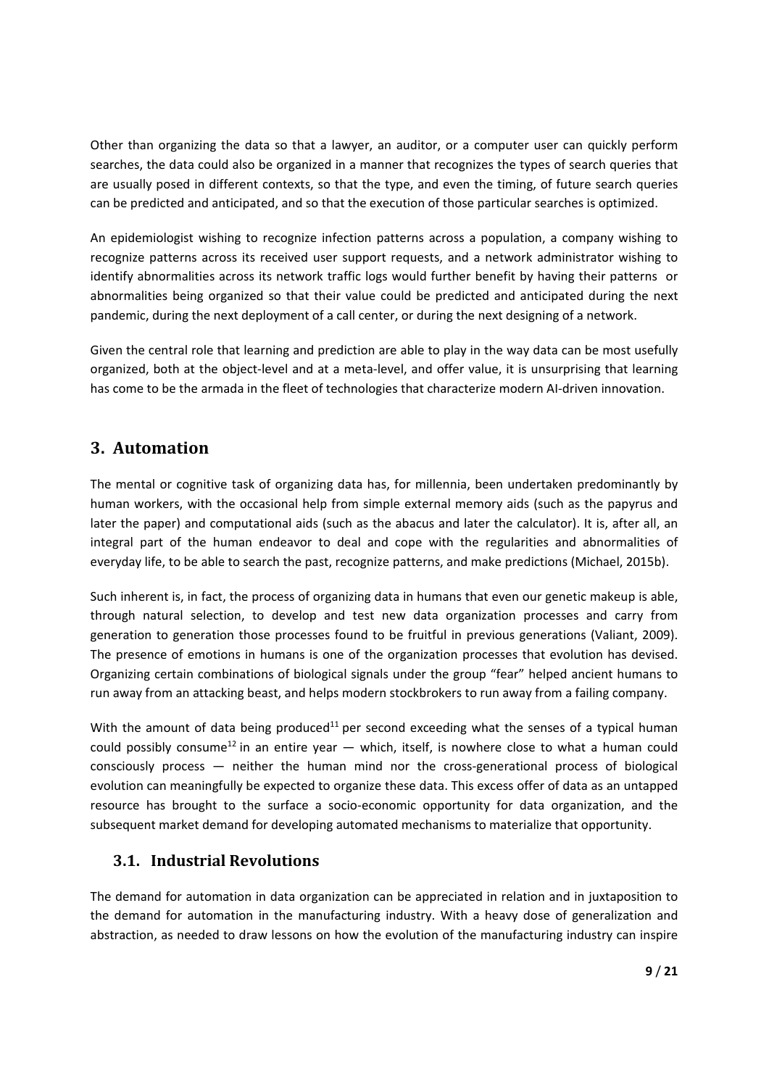Other than organizing the data so that a lawyer, an auditor, or a computer user can quickly perform searches, the data could also be organized in a manner that recognizes the types of search queries that are usually posed in different contexts, so that the type, and even the timing, of future search queries can be predicted and anticipated, and so that the execution of those particular searches is optimized.

An epidemiologist wishing to recognize infection patterns across a population, a company wishing to recognize patterns across its received user support requests, and a network administrator wishing to identify abnormalities across its network traffic logs would further benefit by having their patterns or abnormalities being organized so that their value could be predicted and anticipated during the next pandemic, during the next deployment of a call center, or during the next designing of a network.

Given the central role that learning and prediction are able to play in the way data can be most usefully organized, both at the object-level and at a meta-level, and offer value, it is unsurprising that learning has come to be the armada in the fleet of technologies that characterize modern AI-driven innovation.

## **3. Automation**

The mental or cognitive task of organizing data has, for millennia, been undertaken predominantly by human workers, with the occasional help from simple external memory aids (such as the papyrus and later the paper) and computational aids (such as the abacus and later the calculator). It is, after all, an integral part of the human endeavor to deal and cope with the regularities and abnormalities of everyday life, to be able to search the past, recognize patterns, and make predictions (Michael, 2015b).

Such inherent is, in fact, the process of organizing data in humans that even our genetic makeup is able, through natural selection, to develop and test new data organization processes and carry from generation to generation those processes found to be fruitful in previous generations (Valiant, 2009). The presence of emotions in humans is one of the organization processes that evolution has devised. Organizing certain combinations of biological signals under the group "fear" helped ancient humans to run away from an attacking beast, and helps modern stockbrokers to run away from a failing company.

With the amount of data being produced<sup>11</sup> per second exceeding what the senses of a typical human could possibly consume<sup>12</sup> in an entire year  $-$  which, itself, is nowhere close to what a human could consciously process - neither the human mind nor the cross-generational process of biological evolution can meaningfully be expected to organize these data. This excess offer of data as an untapped resource has brought to the surface a socio-economic opportunity for data organization, and the subsequent market demand for developing automated mechanisms to materialize that opportunity.

#### **3.1. Industrial Revolutions**

The demand for automation in data organization can be appreciated in relation and in juxtaposition to the demand for automation in the manufacturing industry. With a heavy dose of generalization and abstraction, as needed to draw lessons on how the evolution of the manufacturing industry can inspire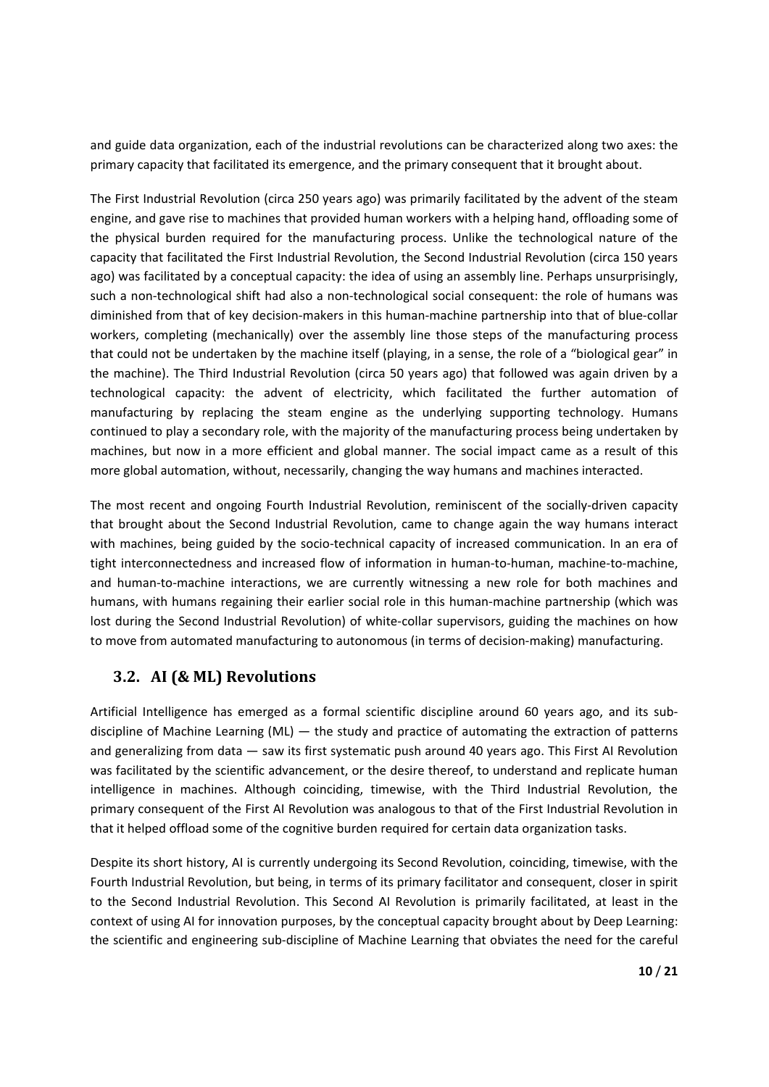and guide data organization, each of the industrial revolutions can be characterized along two axes: the primary capacity that facilitated its emergence, and the primary consequent that it brought about.

The First Industrial Revolution (circa 250 years ago) was primarily facilitated by the advent of the steam engine, and gave rise to machines that provided human workers with a helping hand, offloading some of the physical burden required for the manufacturing process. Unlike the technological nature of the capacity that facilitated the First Industrial Revolution, the Second Industrial Revolution (circa 150 years ago) was facilitated by a conceptual capacity: the idea of using an assembly line. Perhaps unsurprisingly, such a non-technological shift had also a non-technological social consequent: the role of humans was diminished from that of key decision‐makers in this human‐machine partnership into that of blue‐collar workers, completing (mechanically) over the assembly line those steps of the manufacturing process that could not be undertaken by the machine itself (playing, in a sense, the role of a "biological gear" in the machine). The Third Industrial Revolution (circa 50 years ago) that followed was again driven by a technological capacity: the advent of electricity, which facilitated the further automation of manufacturing by replacing the steam engine as the underlying supporting technology. Humans continued to play a secondary role, with the majority of the manufacturing process being undertaken by machines, but now in a more efficient and global manner. The social impact came as a result of this more global automation, without, necessarily, changing the way humans and machines interacted.

The most recent and ongoing Fourth Industrial Revolution, reminiscent of the socially-driven capacity that brought about the Second Industrial Revolution, came to change again the way humans interact with machines, being guided by the socio-technical capacity of increased communication. In an era of tight interconnectedness and increased flow of information in human‐to‐human, machine‐to‐machine, and human-to-machine interactions, we are currently witnessing a new role for both machines and humans, with humans regaining their earlier social role in this human‐machine partnership (which was lost during the Second Industrial Revolution) of white-collar supervisors, guiding the machines on how to move from automated manufacturing to autonomous (in terms of decision-making) manufacturing.

## **3.2. AI (& ML) Revolutions**

Artificial Intelligence has emerged as a formal scientific discipline around 60 years ago, and its subdiscipline of Machine Learning (ML) — the study and practice of automating the extraction of patterns and generalizing from data — saw its first systematic push around 40 years ago. This First AI Revolution was facilitated by the scientific advancement, or the desire thereof, to understand and replicate human intelligence in machines. Although coinciding, timewise, with the Third Industrial Revolution, the primary consequent of the First AI Revolution was analogous to that of the First Industrial Revolution in that it helped offload some of the cognitive burden required for certain data organization tasks.

Despite its short history, AI is currently undergoing its Second Revolution, coinciding, timewise, with the Fourth Industrial Revolution, but being, in terms of its primary facilitator and consequent, closer in spirit to the Second Industrial Revolution. This Second AI Revolution is primarily facilitated, at least in the context of using AI for innovation purposes, by the conceptual capacity brought about by Deep Learning: the scientific and engineering sub‐discipline of Machine Learning that obviates the need for the careful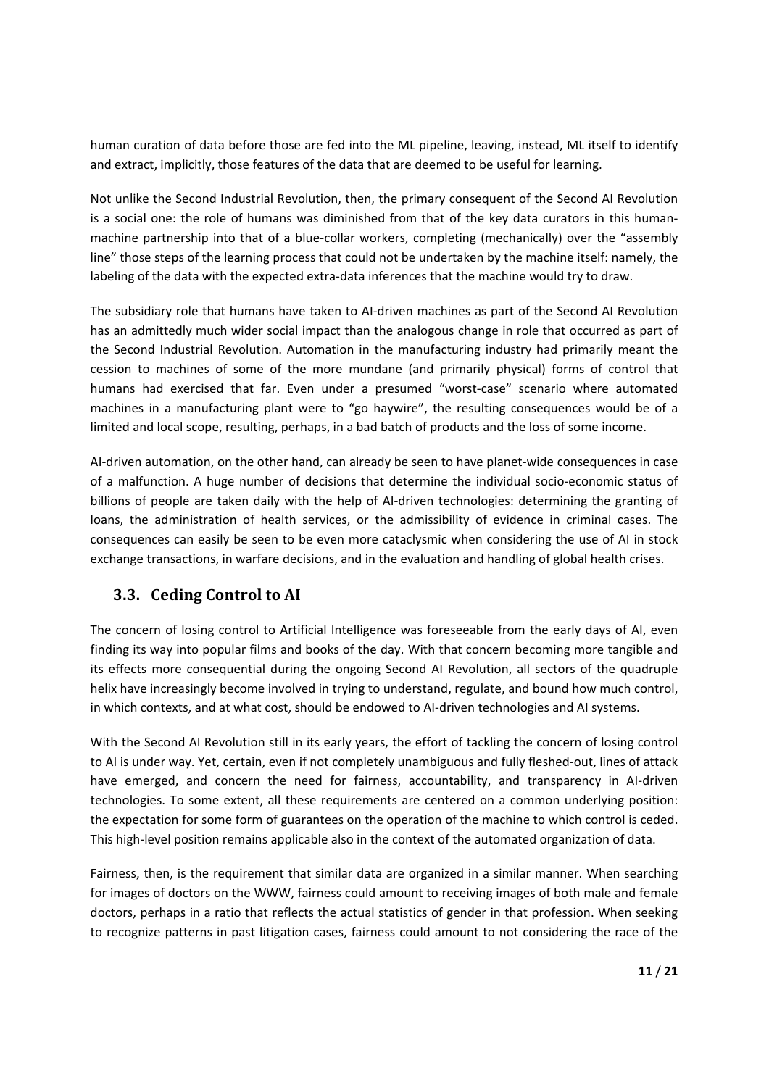human curation of data before those are fed into the ML pipeline, leaving, instead, ML itself to identify and extract, implicitly, those features of the data that are deemed to be useful for learning.

Not unlike the Second Industrial Revolution, then, the primary consequent of the Second AI Revolution is a social one: the role of humans was diminished from that of the key data curators in this human‐ machine partnership into that of a blue-collar workers, completing (mechanically) over the "assembly line" those steps of the learning process that could not be undertaken by the machine itself: namely, the labeling of the data with the expected extra-data inferences that the machine would try to draw.

The subsidiary role that humans have taken to AI‐driven machines as part of the Second AI Revolution has an admittedly much wider social impact than the analogous change in role that occurred as part of the Second Industrial Revolution. Automation in the manufacturing industry had primarily meant the cession to machines of some of the more mundane (and primarily physical) forms of control that humans had exercised that far. Even under a presumed "worst-case" scenario where automated machines in a manufacturing plant were to "go haywire", the resulting consequences would be of a limited and local scope, resulting, perhaps, in a bad batch of products and the loss of some income.

AI‐driven automation, on the other hand, can already be seen to have planet‐wide consequences in case of a malfunction. A huge number of decisions that determine the individual socio‐economic status of billions of people are taken daily with the help of AI-driven technologies: determining the granting of loans, the administration of health services, or the admissibility of evidence in criminal cases. The consequences can easily be seen to be even more cataclysmic when considering the use of AI in stock exchange transactions, in warfare decisions, and in the evaluation and handling of global health crises.

## **3.3. Ceding Control to AI**

The concern of losing control to Artificial Intelligence was foreseeable from the early days of AI, even finding its way into popular films and books of the day. With that concern becoming more tangible and its effects more consequential during the ongoing Second AI Revolution, all sectors of the quadruple helix have increasingly become involved in trying to understand, regulate, and bound how much control, in which contexts, and at what cost, should be endowed to AI‐driven technologies and AI systems.

With the Second AI Revolution still in its early years, the effort of tackling the concern of losing control to AI is under way. Yet, certain, even if not completely unambiguous and fully fleshed‐out, lines of attack have emerged, and concern the need for fairness, accountability, and transparency in AI-driven technologies. To some extent, all these requirements are centered on a common underlying position: the expectation for some form of guarantees on the operation of the machine to which control is ceded. This high-level position remains applicable also in the context of the automated organization of data.

Fairness, then, is the requirement that similar data are organized in a similar manner. When searching for images of doctors on the WWW, fairness could amount to receiving images of both male and female doctors, perhaps in a ratio that reflects the actual statistics of gender in that profession. When seeking to recognize patterns in past litigation cases, fairness could amount to not considering the race of the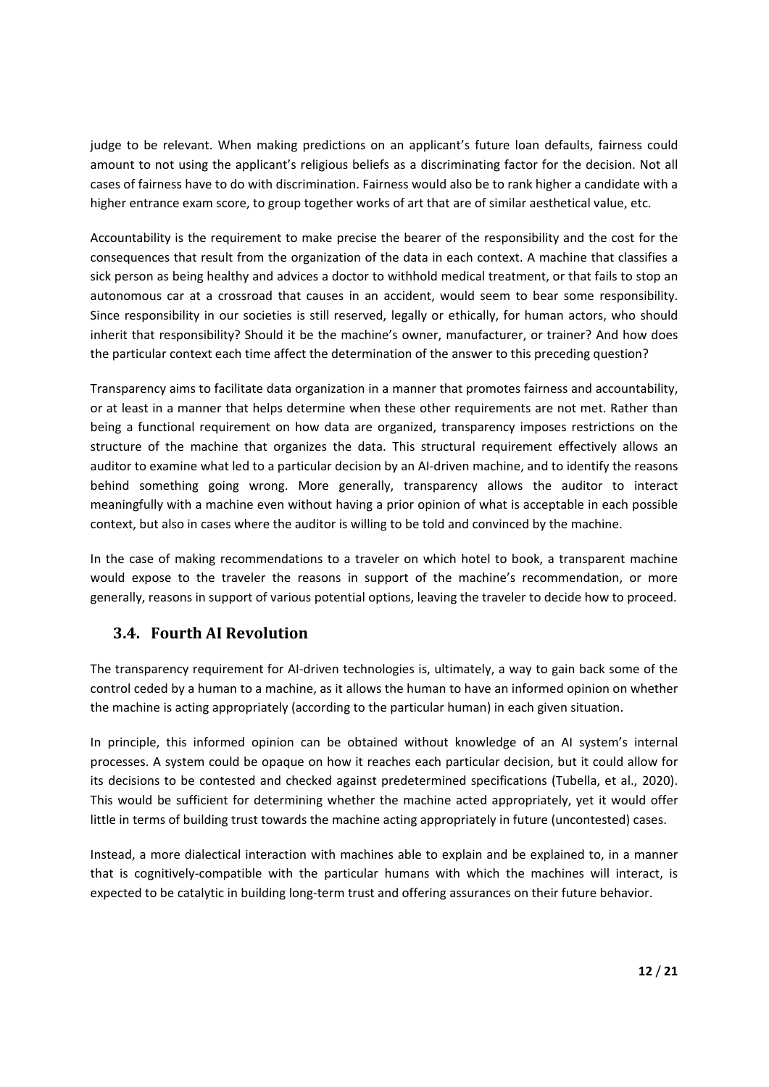judge to be relevant. When making predictions on an applicant's future loan defaults, fairness could amount to not using the applicant's religious beliefs as a discriminating factor for the decision. Not all cases of fairness have to do with discrimination. Fairness would also be to rank higher a candidate with a higher entrance exam score, to group together works of art that are of similar aesthetical value, etc.

Accountability is the requirement to make precise the bearer of the responsibility and the cost for the consequences that result from the organization of the data in each context. A machine that classifies a sick person as being healthy and advices a doctor to withhold medical treatment, or that fails to stop an autonomous car at a crossroad that causes in an accident, would seem to bear some responsibility. Since responsibility in our societies is still reserved, legally or ethically, for human actors, who should inherit that responsibility? Should it be the machine's owner, manufacturer, or trainer? And how does the particular context each time affect the determination of the answer to this preceding question?

Transparency aims to facilitate data organization in a manner that promotes fairness and accountability, or at least in a manner that helps determine when these other requirements are not met. Rather than being a functional requirement on how data are organized, transparency imposes restrictions on the structure of the machine that organizes the data. This structural requirement effectively allows an auditor to examine what led to a particular decision by an AI‐driven machine, and to identify the reasons behind something going wrong. More generally, transparency allows the auditor to interact meaningfully with a machine even without having a prior opinion of what is acceptable in each possible context, but also in cases where the auditor is willing to be told and convinced by the machine.

In the case of making recommendations to a traveler on which hotel to book, a transparent machine would expose to the traveler the reasons in support of the machine's recommendation, or more generally, reasons in support of various potential options, leaving the traveler to decide how to proceed.

#### **3.4. Fourth AI Revolution**

The transparency requirement for AI‐driven technologies is, ultimately, a way to gain back some of the control ceded by a human to a machine, as it allows the human to have an informed opinion on whether the machine is acting appropriately (according to the particular human) in each given situation.

In principle, this informed opinion can be obtained without knowledge of an AI system's internal processes. A system could be opaque on how it reaches each particular decision, but it could allow for its decisions to be contested and checked against predetermined specifications (Tubella, et al., 2020). This would be sufficient for determining whether the machine acted appropriately, yet it would offer little in terms of building trust towards the machine acting appropriately in future (uncontested) cases.

Instead, a more dialectical interaction with machines able to explain and be explained to, in a manner that is cognitively-compatible with the particular humans with which the machines will interact, is expected to be catalytic in building long‐term trust and offering assurances on their future behavior.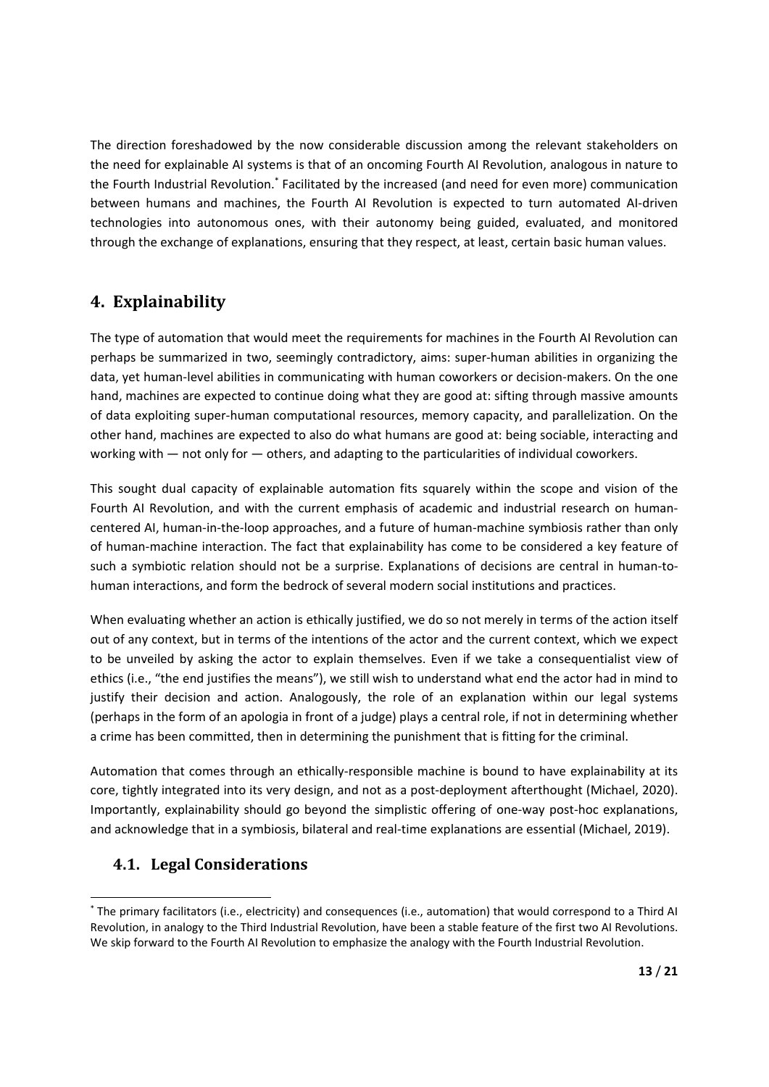The direction foreshadowed by the now considerable discussion among the relevant stakeholders on the need for explainable AI systems is that of an oncoming Fourth AI Revolution, analogous in nature to the Fourth Industrial Revolution.\* Facilitated by the increased (and need for even more) communication between humans and machines, the Fourth AI Revolution is expected to turn automated AI-driven technologies into autonomous ones, with their autonomy being guided, evaluated, and monitored through the exchange of explanations, ensuring that they respect, at least, certain basic human values.

## **4. Explainability**

The type of automation that would meet the requirements for machines in the Fourth AI Revolution can perhaps be summarized in two, seemingly contradictory, aims: super‐human abilities in organizing the data, yet human-level abilities in communicating with human coworkers or decision-makers. On the one hand, machines are expected to continue doing what they are good at: sifting through massive amounts of data exploiting super‐human computational resources, memory capacity, and parallelization. On the other hand, machines are expected to also do what humans are good at: being sociable, interacting and working with — not only for — others, and adapting to the particularities of individual coworkers.

This sought dual capacity of explainable automation fits squarely within the scope and vision of the Fourth AI Revolution, and with the current emphasis of academic and industrial research on humancentered AI, human‐in‐the‐loop approaches, and a future of human‐machine symbiosis rather than only of human‐machine interaction. The fact that explainability has come to be considered a key feature of such a symbiotic relation should not be a surprise. Explanations of decisions are central in human-tohuman interactions, and form the bedrock of several modern social institutions and practices.

When evaluating whether an action is ethically justified, we do so not merely in terms of the action itself out of any context, but in terms of the intentions of the actor and the current context, which we expect to be unveiled by asking the actor to explain themselves. Even if we take a consequentialist view of ethics (i.e., "the end justifies the means"), we still wish to understand what end the actor had in mind to justify their decision and action. Analogously, the role of an explanation within our legal systems (perhaps in the form of an apologia in front of a judge) plays a central role, if not in determining whether a crime has been committed, then in determining the punishment that is fitting for the criminal.

Automation that comes through an ethically-responsible machine is bound to have explainability at its core, tightly integrated into its very design, and not as a post-deployment afterthought (Michael, 2020). Importantly, explainability should go beyond the simplistic offering of one-way post-hoc explanations, and acknowledge that in a symbiosis, bilateral and real-time explanations are essential (Michael, 2019).

#### **4.1. Legal Considerations**

 \* The primary facilitators (i.e., electricity) and consequences (i.e., automation) that would correspond to a Third AI Revolution, in analogy to the Third Industrial Revolution, have been a stable feature of the first two AI Revolutions. We skip forward to the Fourth AI Revolution to emphasize the analogy with the Fourth Industrial Revolution.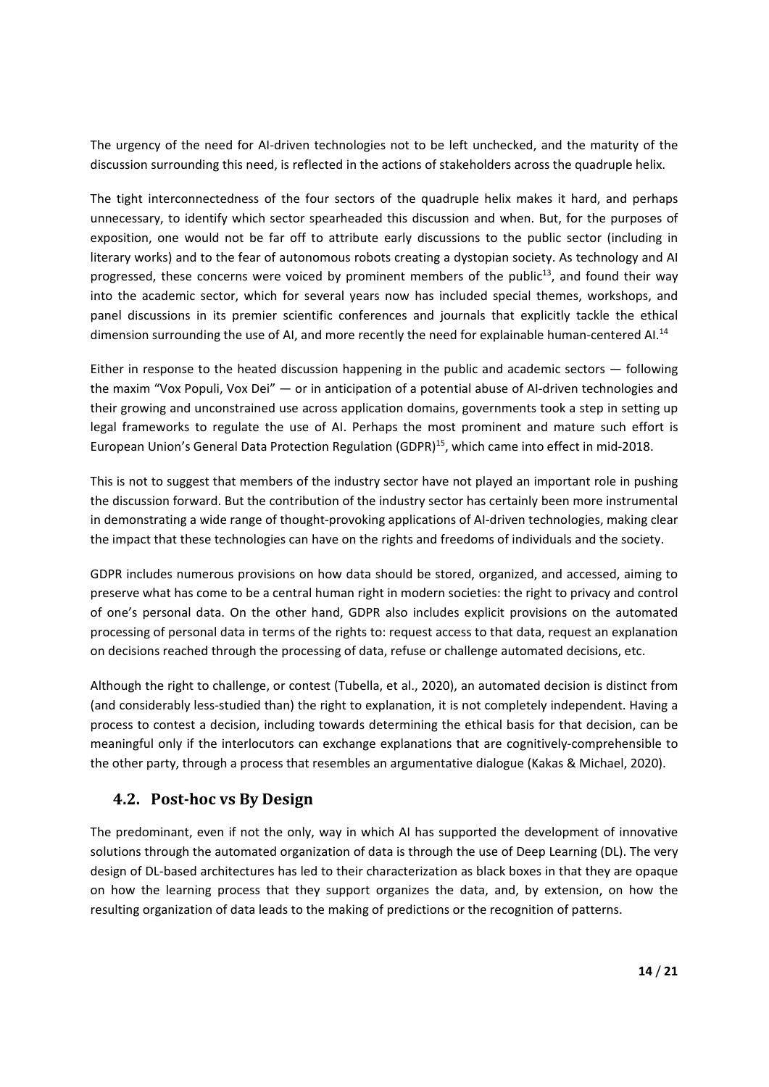The urgency of the need for AI-driven technologies not to be left unchecked, and the maturity of the discussion surrounding this need, is reflected in the actions of stakeholders across the quadruple helix.

The tight interconnectedness of the four sectors of the quadruple helix makes it hard, and perhaps unnecessary, to identify which sector spearheaded this discussion and when. But, for the purposes of exposition, one would not be far off to attribute early discussions to the public sector (including in literary works) and to the fear of autonomous robots creating a dystopian society. As technology and AI progressed, these concerns were voiced by prominent members of the  $public<sup>13</sup>$ , and found their way into the academic sector, which for several years now has included special themes, workshops, and panel discussions in its premier scientific conferences and journals that explicitly tackle the ethical dimension surrounding the use of AI, and more recently the need for explainable human-centered AI.<sup>14</sup>

Either in response to the heated discussion happening in the public and academic sectors — following the maxim "Vox Populi, Vox Dei" — or in anticipation of a potential abuse of AI-driven technologies and their growing and unconstrained use across application domains, governments took a step in setting up legal frameworks to regulate the use of AI. Perhaps the most prominent and mature such effort is European Union's General Data Protection Regulation (GDPR)<sup>15</sup>, which came into effect in mid-2018.

This is not to suggest that members of the industry sector have not played an important role in pushing the discussion forward. But the contribution of the industry sector has certainly been more instrumental in demonstrating a wide range of thought-provoking applications of AI-driven technologies, making clear the impact that these technologies can have on the rights and freedoms of individuals and the society.

GDPR includes numerous provisions on how data should be stored, organized, and accessed, aiming to preserve what has come to be a central human right in modern societies: the right to privacy and control of one's personal data. On the other hand, GDPR also includes explicit provisions on the automated processing of personal data in terms of the rights to: request access to that data, request an explanation on decisions reached through the processing of data, refuse or challenge automated decisions, etc.

Although the right to challenge, or contest (Tubella, et al., 2020), an automated decision is distinct from (and considerably less‐studied than) the right to explanation, it is not completely independent. Having a process to contest a decision, including towards determining the ethical basis for that decision, can be meaningful only if the interlocutors can exchange explanations that are cognitively‐comprehensible to the other party, through a process that resembles an argumentative dialogue (Kakas & Michael, 2020).

## **4.2. Post‐hoc vs By Design**

The predominant, even if not the only, way in which AI has supported the development of innovative solutions through the automated organization of data is through the use of Deep Learning (DL). The very design of DL‐based architectures has led to their characterization as black boxes in that they are opaque on how the learning process that they support organizes the data, and, by extension, on how the resulting organization of data leads to the making of predictions or the recognition of patterns.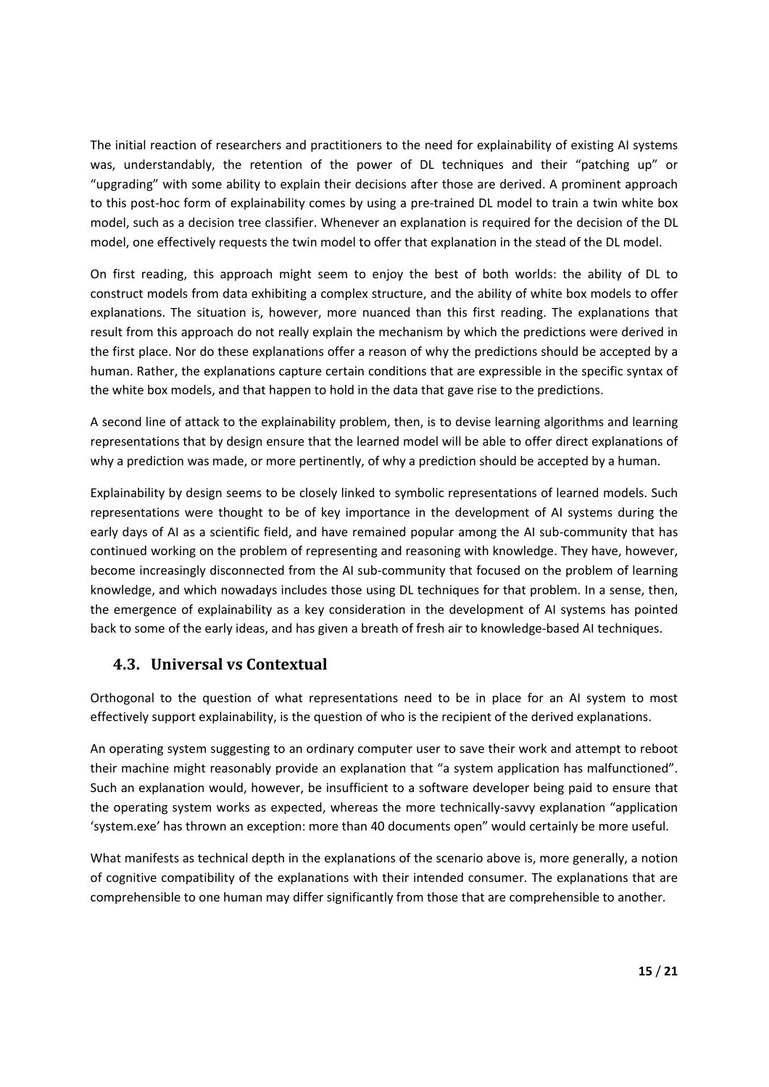The initial reaction of researchers and practitioners to the need for explainability of existing AI systems was, understandably, the retention of the power of DL techniques and their "patching up" or "upgrading" with some ability to explain their decisions after those are derived. A prominent approach to this post-hoc form of explainability comes by using a pre-trained DL model to train a twin white box model, such as a decision tree classifier. Whenever an explanation is required for the decision of the DL model, one effectively requests the twin model to offer that explanation in the stead of the DL model.

On first reading, this approach might seem to enjoy the best of both worlds: the ability of DL to construct models from data exhibiting a complex structure, and the ability of white box models to offer explanations. The situation is, however, more nuanced than this first reading. The explanations that result from this approach do not really explain the mechanism by which the predictions were derived in the first place. Nor do these explanations offer a reason of why the predictions should be accepted by a human. Rather, the explanations capture certain conditions that are expressible in the specific syntax of the white box models, and that happen to hold in the data that gave rise to the predictions.

A second line of attack to the explainability problem, then, is to devise learning algorithms and learning representations that by design ensure that the learned model will be able to offer direct explanations of why a prediction was made, or more pertinently, of why a prediction should be accepted by a human.

Explainability by design seems to be closely linked to symbolic representations of learned models. Such representations were thought to be of key importance in the development of AI systems during the early days of AI as a scientific field, and have remained popular among the AI sub-community that has continued working on the problem of representing and reasoning with knowledge. They have, however, become increasingly disconnected from the AI sub‐community that focused on the problem of learning knowledge, and which nowadays includes those using DL techniques for that problem. In a sense, then, the emergence of explainability as a key consideration in the development of AI systems has pointed back to some of the early ideas, and has given a breath of fresh air to knowledge‐based AI techniques.

#### **4.3. Universal vs Contextual**

Orthogonal to the question of what representations need to be in place for an AI system to most effectively support explainability, is the question of who is the recipient of the derived explanations.

An operating system suggesting to an ordinary computer user to save their work and attempt to reboot their machine might reasonably provide an explanation that "a system application has malfunctioned". Such an explanation would, however, be insufficient to a software developer being paid to ensure that the operating system works as expected, whereas the more technically‐savvy explanation "application 'system.exe' has thrown an exception: more than 40 documents open" would certainly be more useful.

What manifests as technical depth in the explanations of the scenario above is, more generally, a notion of cognitive compatibility of the explanations with their intended consumer. The explanations that are comprehensible to one human may differ significantly from those that are comprehensible to another.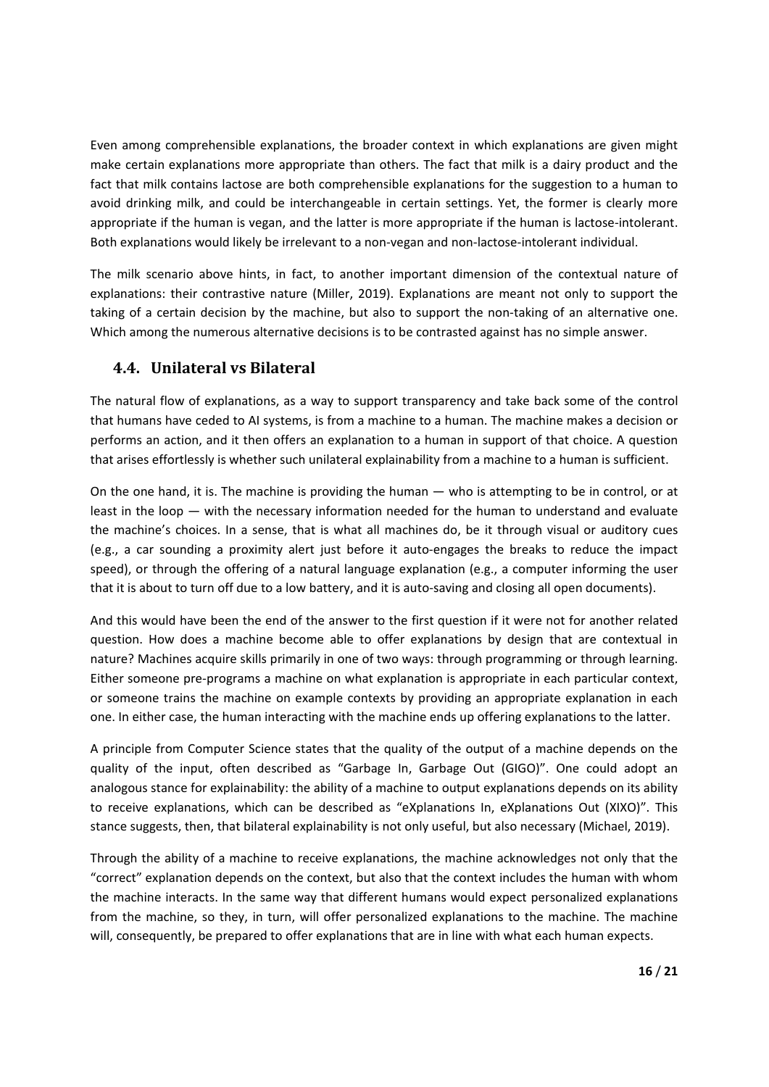Even among comprehensible explanations, the broader context in which explanations are given might make certain explanations more appropriate than others. The fact that milk is a dairy product and the fact that milk contains lactose are both comprehensible explanations for the suggestion to a human to avoid drinking milk, and could be interchangeable in certain settings. Yet, the former is clearly more appropriate if the human is vegan, and the latter is more appropriate if the human is lactose-intolerant. Both explanations would likely be irrelevant to a non‐vegan and non‐lactose‐intolerant individual.

The milk scenario above hints, in fact, to another important dimension of the contextual nature of explanations: their contrastive nature (Miller, 2019). Explanations are meant not only to support the taking of a certain decision by the machine, but also to support the non-taking of an alternative one. Which among the numerous alternative decisions is to be contrasted against has no simple answer.

#### **4.4. Unilateral vs Bilateral**

The natural flow of explanations, as a way to support transparency and take back some of the control that humans have ceded to AI systems, is from a machine to a human. The machine makes a decision or performs an action, and it then offers an explanation to a human in support of that choice. A question that arises effortlessly is whether such unilateral explainability from a machine to a human is sufficient.

On the one hand, it is. The machine is providing the human — who is attempting to be in control, or at least in the loop — with the necessary information needed for the human to understand and evaluate the machine's choices. In a sense, that is what all machines do, be it through visual or auditory cues (e.g., a car sounding a proximity alert just before it auto-engages the breaks to reduce the impact speed), or through the offering of a natural language explanation (e.g., a computer informing the user that it is about to turn off due to a low battery, and it is auto‐saving and closing all open documents).

And this would have been the end of the answer to the first question if it were not for another related question. How does a machine become able to offer explanations by design that are contextual in nature? Machines acquire skills primarily in one of two ways: through programming or through learning. Either someone pre‐programs a machine on what explanation is appropriate in each particular context, or someone trains the machine on example contexts by providing an appropriate explanation in each one. In either case, the human interacting with the machine ends up offering explanations to the latter.

A principle from Computer Science states that the quality of the output of a machine depends on the quality of the input, often described as "Garbage In, Garbage Out (GIGO)". One could adopt an analogous stance for explainability: the ability of a machine to output explanations depends on its ability to receive explanations, which can be described as "eXplanations In, eXplanations Out (XIXO)". This stance suggests, then, that bilateral explainability is not only useful, but also necessary (Michael, 2019).

Through the ability of a machine to receive explanations, the machine acknowledges not only that the "correct" explanation depends on the context, but also that the context includes the human with whom the machine interacts. In the same way that different humans would expect personalized explanations from the machine, so they, in turn, will offer personalized explanations to the machine. The machine will, consequently, be prepared to offer explanations that are in line with what each human expects.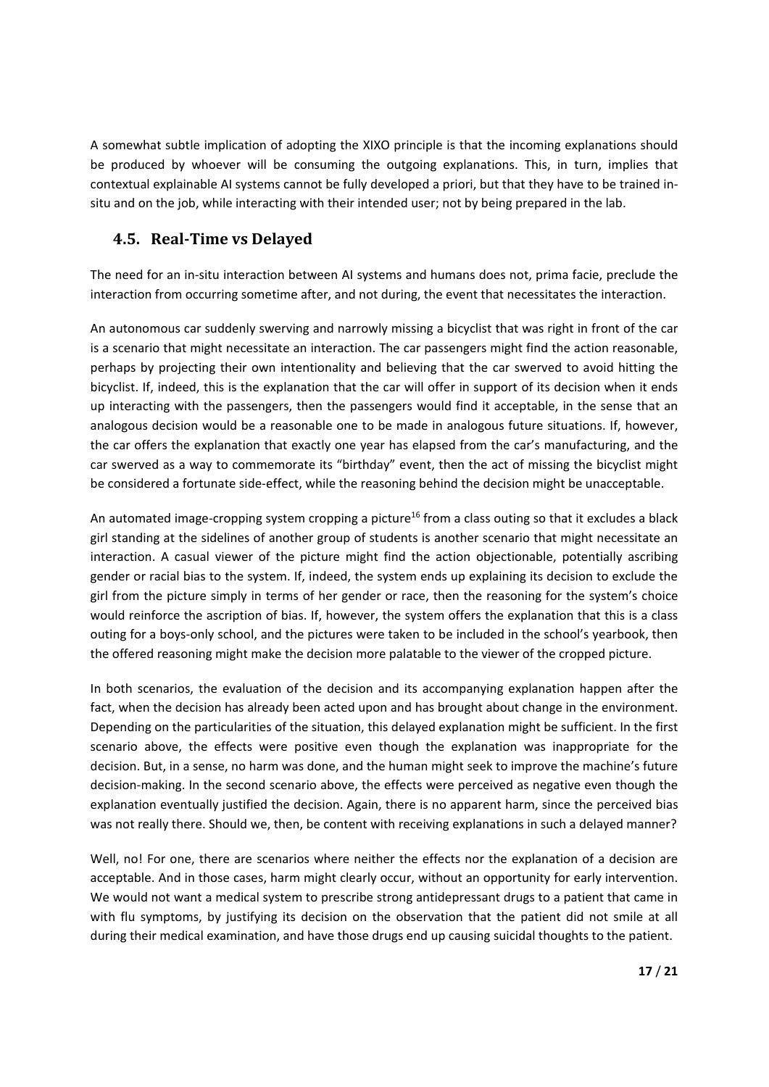A somewhat subtle implication of adopting the XIXO principle is that the incoming explanations should be produced by whoever will be consuming the outgoing explanations. This, in turn, implies that contextual explainable AI systems cannot be fully developed a priori, but that they have to be trained in‐ situ and on the job, while interacting with their intended user; not by being prepared in the lab.

#### **4.5. Real‐Time vs Delayed**

The need for an in‐situ interaction between AI systems and humans does not, prima facie, preclude the interaction from occurring sometime after, and not during, the event that necessitates the interaction.

An autonomous car suddenly swerving and narrowly missing a bicyclist that was right in front of the car is a scenario that might necessitate an interaction. The car passengers might find the action reasonable, perhaps by projecting their own intentionality and believing that the car swerved to avoid hitting the bicyclist. If, indeed, this is the explanation that the car will offer in support of its decision when it ends up interacting with the passengers, then the passengers would find it acceptable, in the sense that an analogous decision would be a reasonable one to be made in analogous future situations. If, however, the car offers the explanation that exactly one year has elapsed from the car's manufacturing, and the car swerved as a way to commemorate its "birthday" event, then the act of missing the bicyclist might be considered a fortunate side-effect, while the reasoning behind the decision might be unacceptable.

An automated image-cropping system cropping a picture<sup>16</sup> from a class outing so that it excludes a black girl standing at the sidelines of another group of students is another scenario that might necessitate an interaction. A casual viewer of the picture might find the action objectionable, potentially ascribing gender or racial bias to the system. If, indeed, the system ends up explaining its decision to exclude the girl from the picture simply in terms of her gender or race, then the reasoning for the system's choice would reinforce the ascription of bias. If, however, the system offers the explanation that this is a class outing for a boys‐only school, and the pictures were taken to be included in the school's yearbook, then the offered reasoning might make the decision more palatable to the viewer of the cropped picture.

In both scenarios, the evaluation of the decision and its accompanying explanation happen after the fact, when the decision has already been acted upon and has brought about change in the environment. Depending on the particularities of the situation, this delayed explanation might be sufficient. In the first scenario above, the effects were positive even though the explanation was inappropriate for the decision. But, in a sense, no harm was done, and the human might seek to improve the machine's future decision‐making. In the second scenario above, the effects were perceived as negative even though the explanation eventually justified the decision. Again, there is no apparent harm, since the perceived bias was not really there. Should we, then, be content with receiving explanations in such a delayed manner?

Well, no! For one, there are scenarios where neither the effects nor the explanation of a decision are acceptable. And in those cases, harm might clearly occur, without an opportunity for early intervention. We would not want a medical system to prescribe strong antidepressant drugs to a patient that came in with flu symptoms, by justifying its decision on the observation that the patient did not smile at all during their medical examination, and have those drugs end up causing suicidal thoughts to the patient.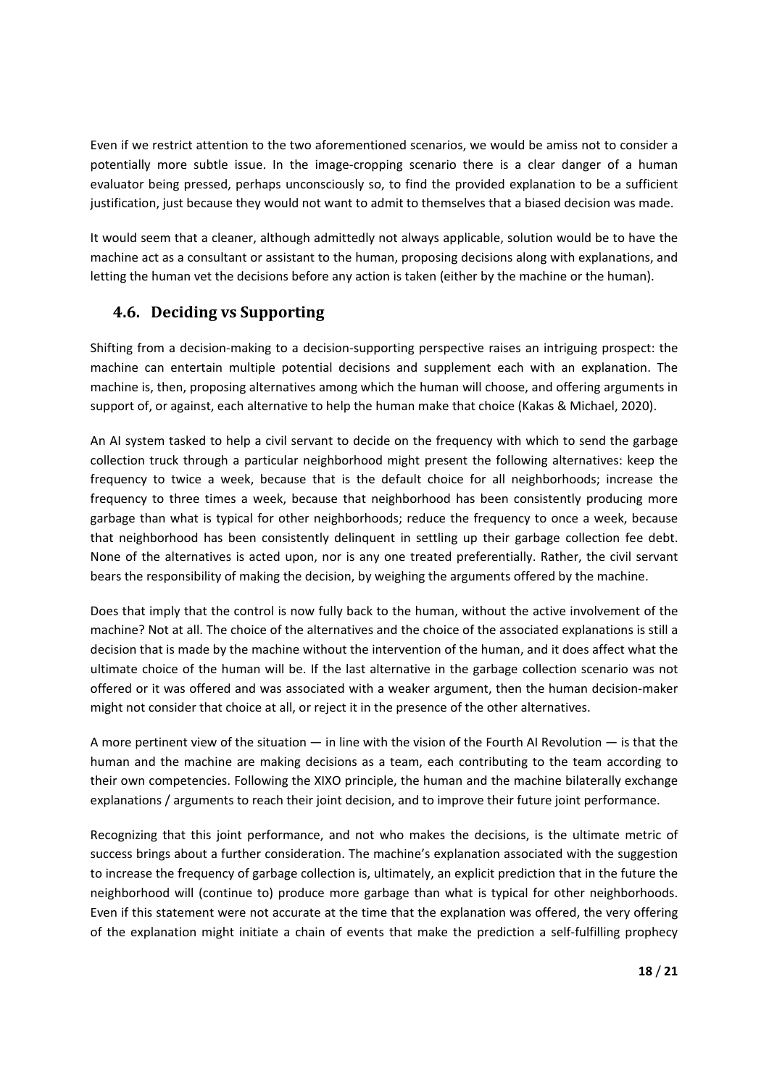Even if we restrict attention to the two aforementioned scenarios, we would be amiss not to consider a potentially more subtle issue. In the image‐cropping scenario there is a clear danger of a human evaluator being pressed, perhaps unconsciously so, to find the provided explanation to be a sufficient justification, just because they would not want to admit to themselves that a biased decision was made.

It would seem that a cleaner, although admittedly not always applicable, solution would be to have the machine act as a consultant or assistant to the human, proposing decisions along with explanations, and letting the human vet the decisions before any action is taken (either by the machine or the human).

#### **4.6. Deciding vs Supporting**

Shifting from a decision‐making to a decision‐supporting perspective raises an intriguing prospect: the machine can entertain multiple potential decisions and supplement each with an explanation. The machine is, then, proposing alternatives among which the human will choose, and offering arguments in support of, or against, each alternative to help the human make that choice (Kakas & Michael, 2020).

An AI system tasked to help a civil servant to decide on the frequency with which to send the garbage collection truck through a particular neighborhood might present the following alternatives: keep the frequency to twice a week, because that is the default choice for all neighborhoods; increase the frequency to three times a week, because that neighborhood has been consistently producing more garbage than what is typical for other neighborhoods; reduce the frequency to once a week, because that neighborhood has been consistently delinquent in settling up their garbage collection fee debt. None of the alternatives is acted upon, nor is any one treated preferentially. Rather, the civil servant bears the responsibility of making the decision, by weighing the arguments offered by the machine.

Does that imply that the control is now fully back to the human, without the active involvement of the machine? Not at all. The choice of the alternatives and the choice of the associated explanations is still a decision that is made by the machine without the intervention of the human, and it does affect what the ultimate choice of the human will be. If the last alternative in the garbage collection scenario was not offered or it was offered and was associated with a weaker argument, then the human decision‐maker might not consider that choice at all, or reject it in the presence of the other alternatives.

A more pertinent view of the situation  $-$  in line with the vision of the Fourth AI Revolution  $-$  is that the human and the machine are making decisions as a team, each contributing to the team according to their own competencies. Following the XIXO principle, the human and the machine bilaterally exchange explanations / arguments to reach their joint decision, and to improve their future joint performance.

Recognizing that this joint performance, and not who makes the decisions, is the ultimate metric of success brings about a further consideration. The machine's explanation associated with the suggestion to increase the frequency of garbage collection is, ultimately, an explicit prediction that in the future the neighborhood will (continue to) produce more garbage than what is typical for other neighborhoods. Even if this statement were not accurate at the time that the explanation was offered, the very offering of the explanation might initiate a chain of events that make the prediction a self‐fulfilling prophecy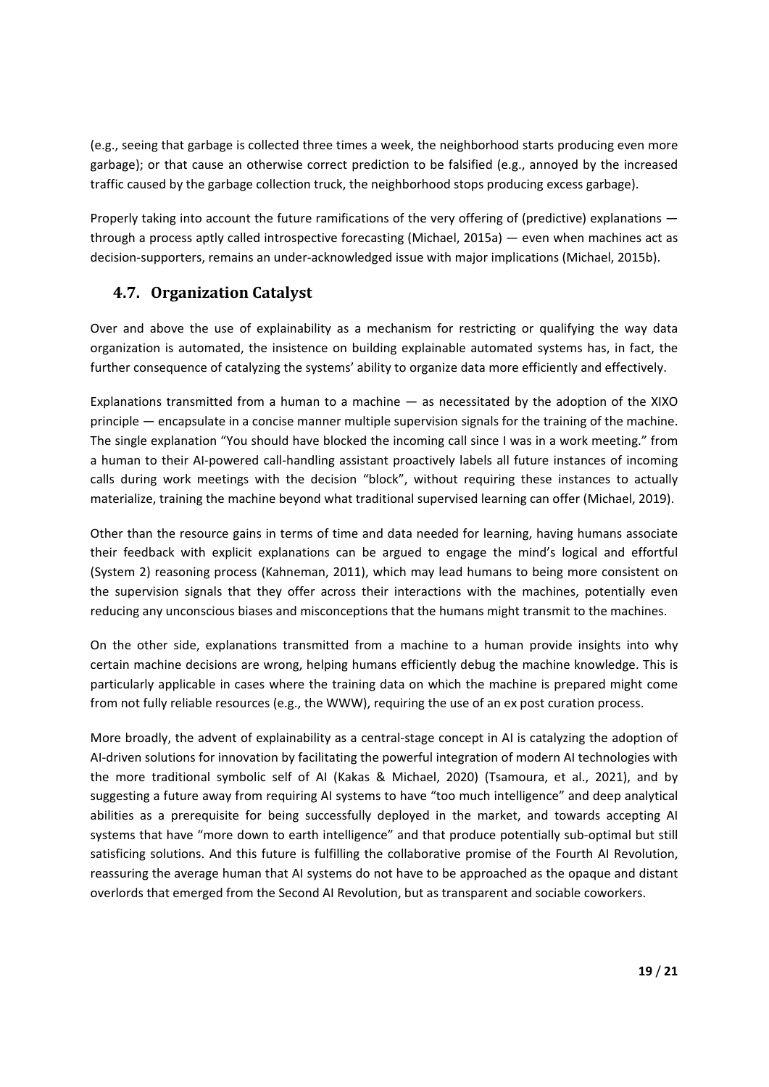(e.g., seeing that garbage is collected three times a week, the neighborhood starts producing even more garbage); or that cause an otherwise correct prediction to be falsified (e.g., annoyed by the increased traffic caused by the garbage collection truck, the neighborhood stops producing excess garbage).

Properly taking into account the future ramifications of the very offering of (predictive) explanations through a process aptly called introspective forecasting (Michael, 2015a) — even when machines act as decision‐supporters, remains an under‐acknowledged issue with major implications (Michael, 2015b).

## **4.7. Organization Catalyst**

Over and above the use of explainability as a mechanism for restricting or qualifying the way data organization is automated, the insistence on building explainable automated systems has, in fact, the further consequence of catalyzing the systems' ability to organize data more efficiently and effectively.

Explanations transmitted from a human to a machine  $-$  as necessitated by the adoption of the  $XIXO$ principle — encapsulate in a concise manner multiple supervision signals for the training of the machine. The single explanation "You should have blocked the incoming call since I was in a work meeting." from a human to their AI‐powered call‐handling assistant proactively labels all future instances of incoming calls during work meetings with the decision "block", without requiring these instances to actually materialize, training the machine beyond what traditional supervised learning can offer (Michael, 2019).

Other than the resource gains in terms of time and data needed for learning, having humans associate their feedback with explicit explanations can be argued to engage the mind's logical and effortful (System 2) reasoning process (Kahneman, 2011), which may lead humans to being more consistent on the supervision signals that they offer across their interactions with the machines, potentially even reducing any unconscious biases and misconceptions that the humans might transmit to the machines.

On the other side, explanations transmitted from a machine to a human provide insights into why certain machine decisions are wrong, helping humans efficiently debug the machine knowledge. This is particularly applicable in cases where the training data on which the machine is prepared might come from not fully reliable resources (e.g., the WWW), requiring the use of an ex post curation process.

More broadly, the advent of explainability as a central-stage concept in AI is catalyzing the adoption of AI-driven solutions for innovation by facilitating the powerful integration of modern AI technologies with the more traditional symbolic self of AI (Kakas & Michael, 2020) (Tsamoura, et al., 2021), and by suggesting a future away from requiring AI systems to have "too much intelligence" and deep analytical abilities as a prerequisite for being successfully deployed in the market, and towards accepting AI systems that have "more down to earth intelligence" and that produce potentially sub-optimal but still satisficing solutions. And this future is fulfilling the collaborative promise of the Fourth AI Revolution, reassuring the average human that AI systems do not have to be approached as the opaque and distant overlords that emerged from the Second AI Revolution, but as transparent and sociable coworkers.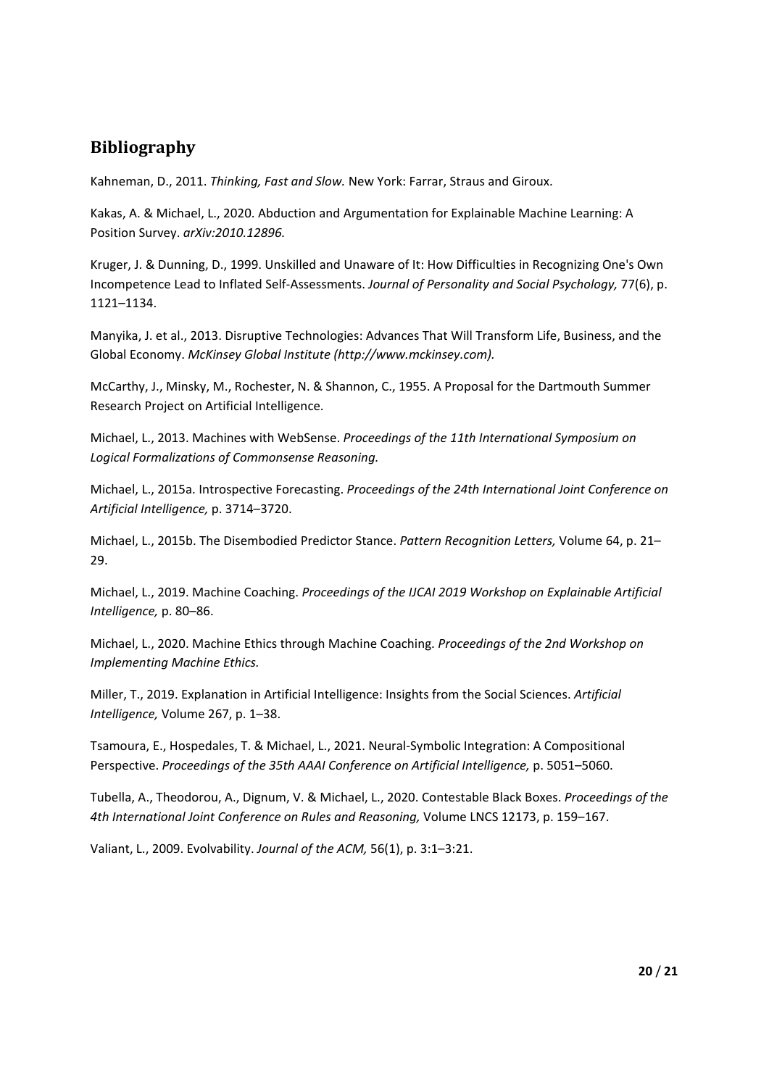## **Bibliography**

Kahneman, D., 2011. *Thinking, Fast and Slow.* New York: Farrar, Straus and Giroux.

Kakas, A. & Michael, L., 2020. Abduction and Argumentation for Explainable Machine Learning: A Position Survey. *arXiv:2010.12896.*

Kruger, J. & Dunning, D., 1999. Unskilled and Unaware of It: How Difficulties in Recognizing One's Own Incompetence Lead to Inflated Self‐Assessments. *Journal of Personality and Social Psychology,* 77(6), p. 1121–1134.

Manyika, J. et al., 2013. Disruptive Technologies: Advances That Will Transform Life, Business, and the Global Economy. *McKinsey Global Institute (http://www.mckinsey.com).*

McCarthy, J., Minsky, M., Rochester, N. & Shannon, C., 1955. A Proposal for the Dartmouth Summer Research Project on Artificial Intelligence.

Michael, L., 2013. Machines with WebSense. *Proceedings of the 11th International Symposium on Logical Formalizations of Commonsense Reasoning.*

Michael, L., 2015a. Introspective Forecasting. *Proceedings of the 24th International Joint Conference on Artificial Intelligence,* p. 3714–3720.

Michael, L., 2015b. The Disembodied Predictor Stance. *Pattern Recognition Letters,* Volume 64, p. 21– 29.

Michael, L., 2019. Machine Coaching. *Proceedings of the IJCAI 2019 Workshop on Explainable Artificial Intelligence,* p. 80–86.

Michael, L., 2020. Machine Ethics through Machine Coaching. *Proceedings of the 2nd Workshop on Implementing Machine Ethics.*

Miller, T., 2019. Explanation in Artificial Intelligence: Insights from the Social Sciences. *Artificial Intelligence,* Volume 267, p. 1–38.

Tsamoura, E., Hospedales, T. & Michael, L., 2021. Neural‐Symbolic Integration: A Compositional Perspective. *Proceedings of the 35th AAAI Conference on Artificial Intelligence,* p. 5051–5060.

Tubella, A., Theodorou, A., Dignum, V. & Michael, L., 2020. Contestable Black Boxes. *Proceedings of the 4th International Joint Conference on Rules and Reasoning,* Volume LNCS 12173, p. 159–167.

Valiant, L., 2009. Evolvability. *Journal of the ACM,* 56(1), p. 3:1–3:21.